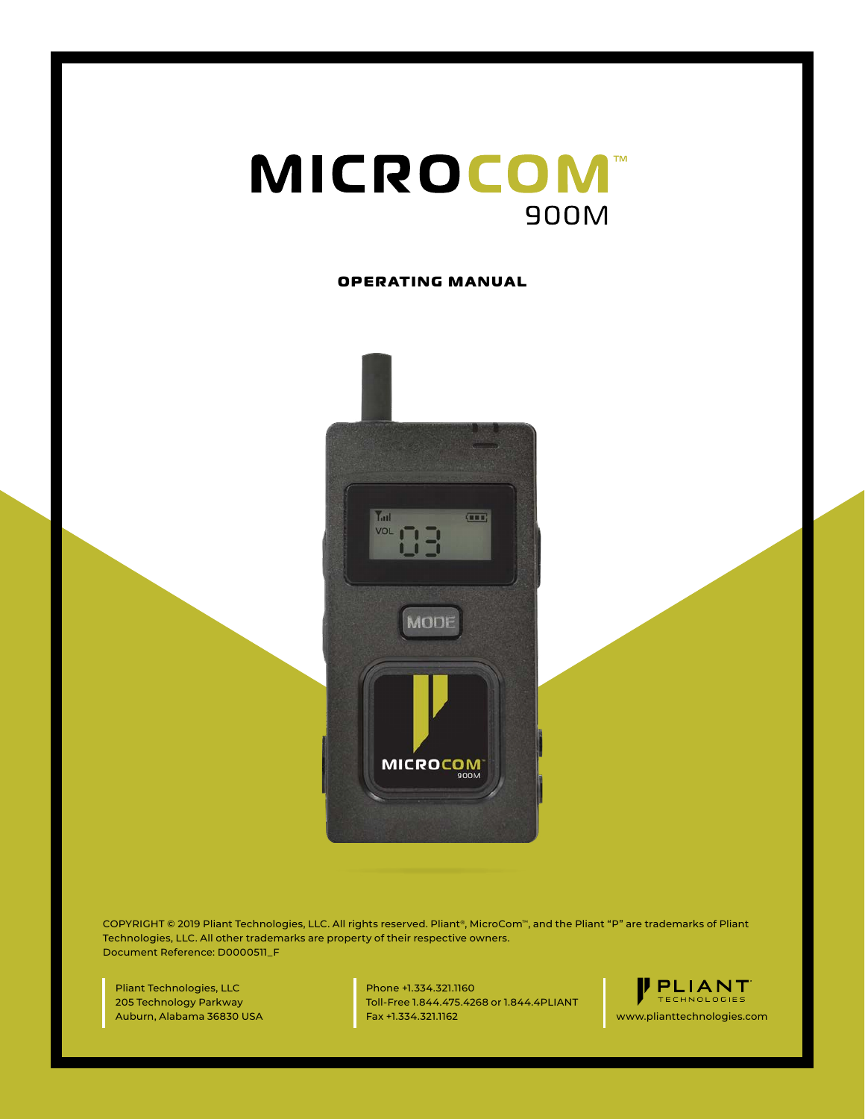

#### **OPERATING MANUAL**



COPYRIGHT © 2019 Pliant Technologies, LLC. All rights reserved. Pliant®, MicroCom™, and the Pliant "P" are trademarks of Pliant Technologies, LLC. All other trademarks are property of their respective owners. Document Reference: D0000511\_F

Pliant Technologies, LLC 205 Technology Parkway Auburn, Alabama 36830 USA Phone +1.334.321.1160 Toll-Free 1.844.475.4268 or 1.844.4PLIANT Fax +1.334.321.1162 www.plianttechnologies.com

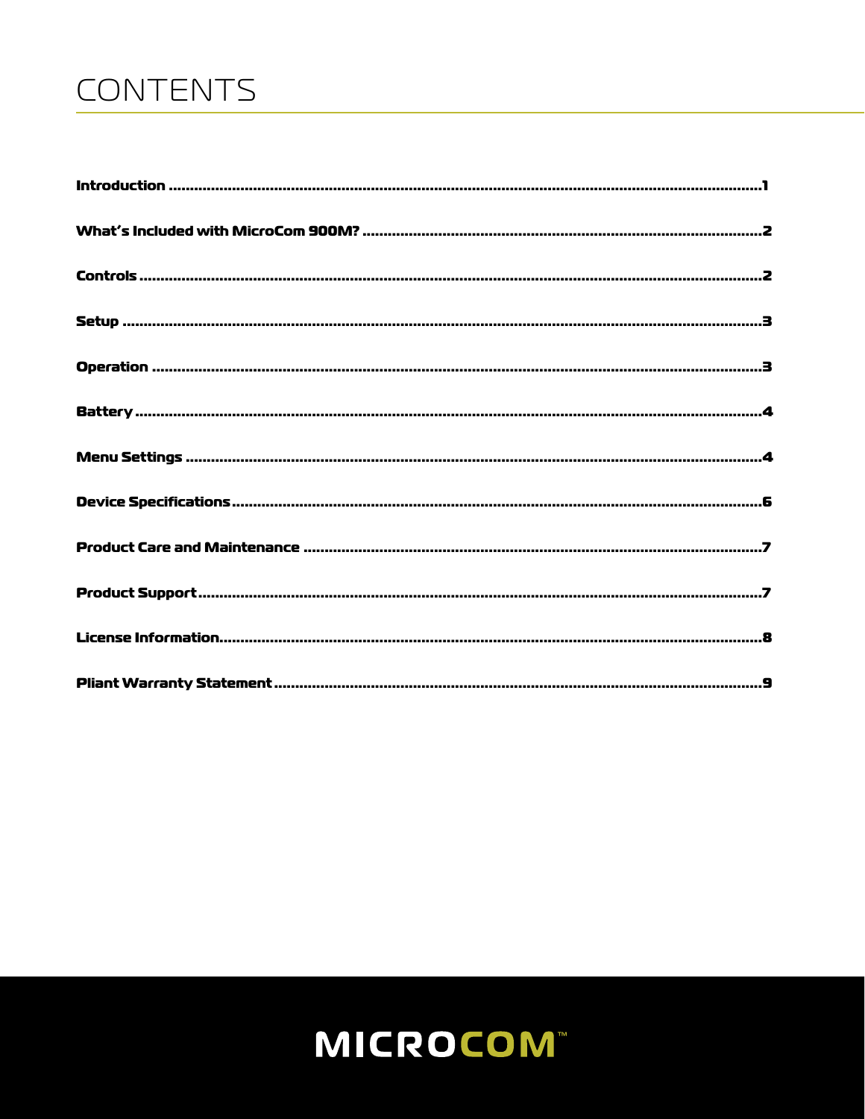# CONTENTS

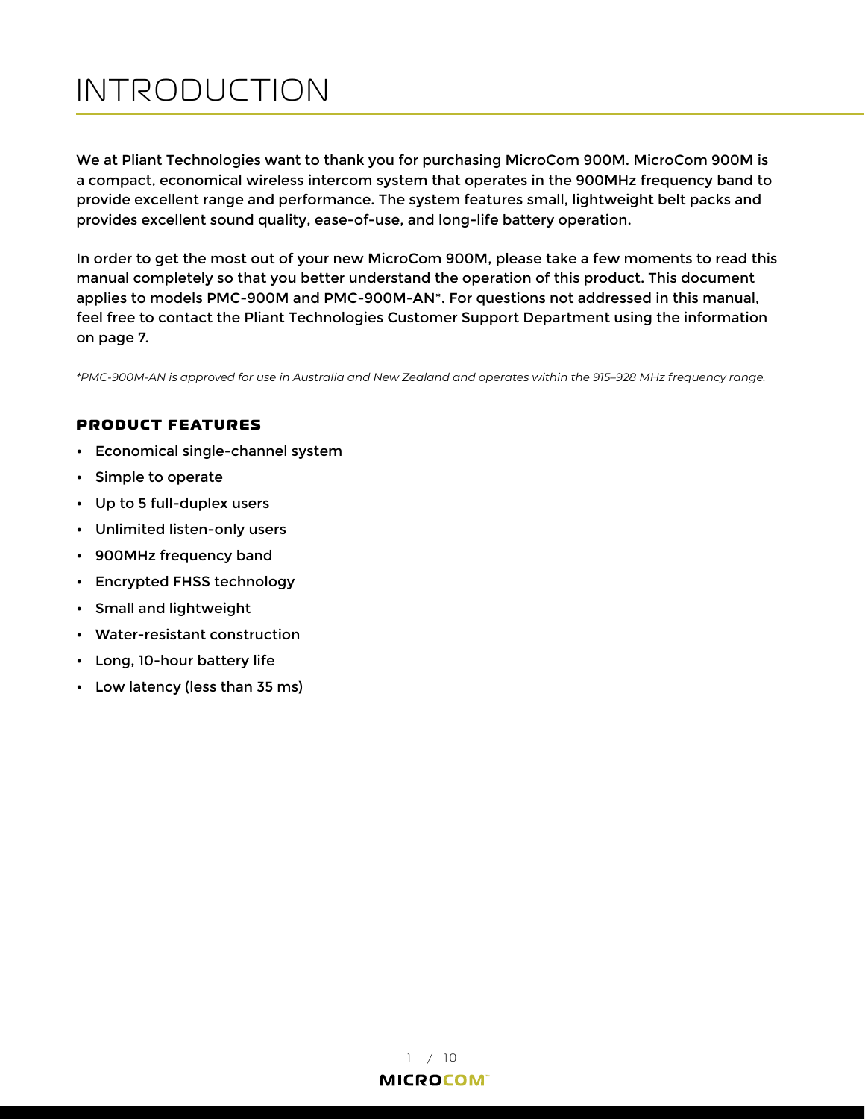# <span id="page-2-0"></span>INTRODUCTION

We at Pliant Technologies want to thank you for purchasing MicroCom 900M. MicroCom 900M is a compact, economical wireless intercom system that operates in the 900MHz frequency band to provide excellent range and performance. The system features small, lightweight belt packs and provides excellent sound quality, ease-of-use, and long-life battery operation.

In order to get the most out of your new MicroCom 900M, please take a few moments to read this manual completely so that you better understand the operation of this product. This document applies to models PMC-900M and PMC-900M-AN\*. For questions not addressed in this manual, feel free to contact the Pliant Technologies Customer Support Department using the information on [page 7.](#page-8-1)

*\*PMC-900M-AN is approved for use in Australia and New Zealand and operates within the 915–928 MHz frequency range.*

### **PRODUCT FEATURES**

- Economical single-channel system
- Simple to operate
- Up to 5 full-duplex users
- Unlimited listen-only users
- 900MHz frequency band
- Encrypted FHSS technology
- Small and lightweight
- Water-resistant construction
- Long, 10-hour battery life
- Low latency (less than 35 ms)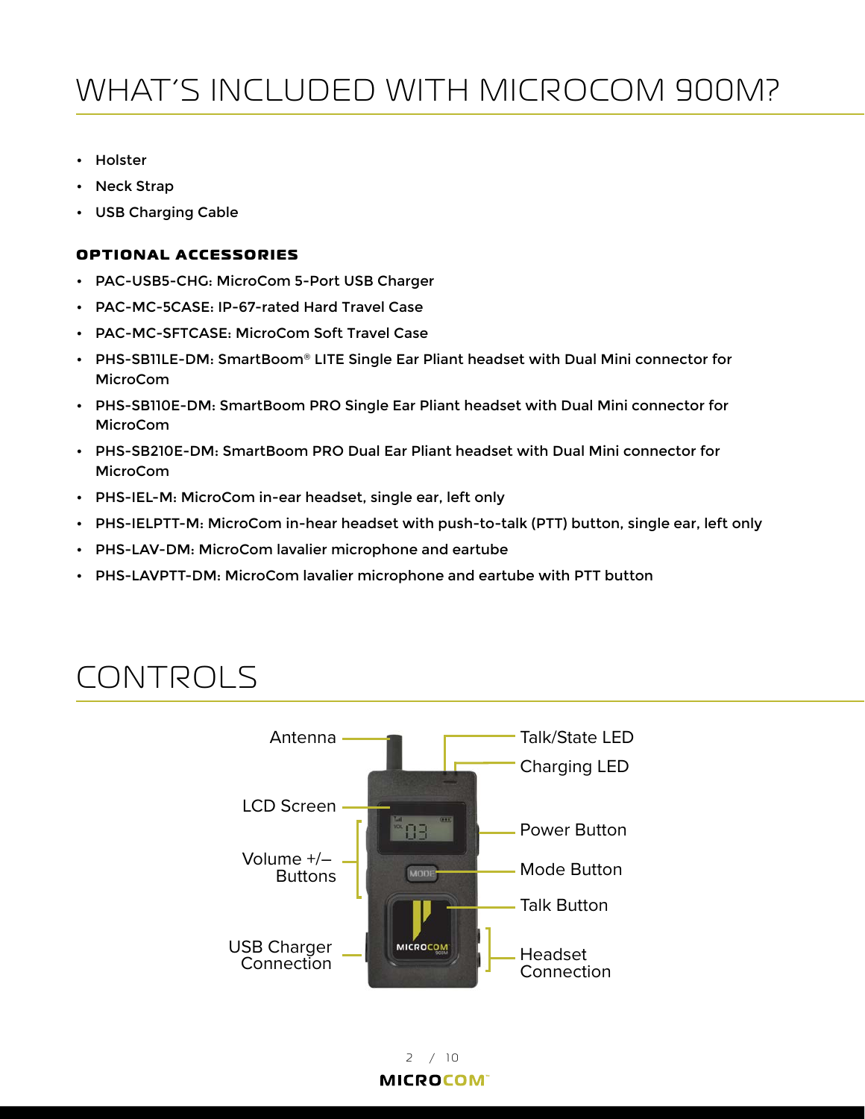# <span id="page-3-0"></span>WHAT'S INCLUDED WITH MICROCOM 900M?

- Holster
- Neck Strap
- USB Charging Cable

#### **OPTIONAL ACCESSORIES**

- PAC-USB5-CHG: MicroCom 5-Port USB Charger
- PAC-MC-5CASE: IP-67-rated Hard Travel Case
- PAC-MC-SFTCASE: MicroCom Soft Travel Case
- PHS-SB11LE-DM: SmartBoom® LITE Single Ear Pliant headset with Dual Mini connector for MicroCom
- PHS-SB110E-DM: SmartBoom PRO Single Ear Pliant headset with Dual Mini connector for MicroCom
- PHS-SB210E-DM: SmartBoom PRO Dual Ear Pliant headset with Dual Mini connector for MicroCom
- PHS-IEL-M: MicroCom in-ear headset, single ear, left only
- PHS-IELPTT-M: MicroCom in-hear headset with push-to-talk (PTT) button, single ear, left only
- PHS-LAV-DM: MicroCom lavalier microphone and eartube
- PHS-LAVPTT-DM: MicroCom lavalier microphone and eartube with PTT button

## CONTROLS

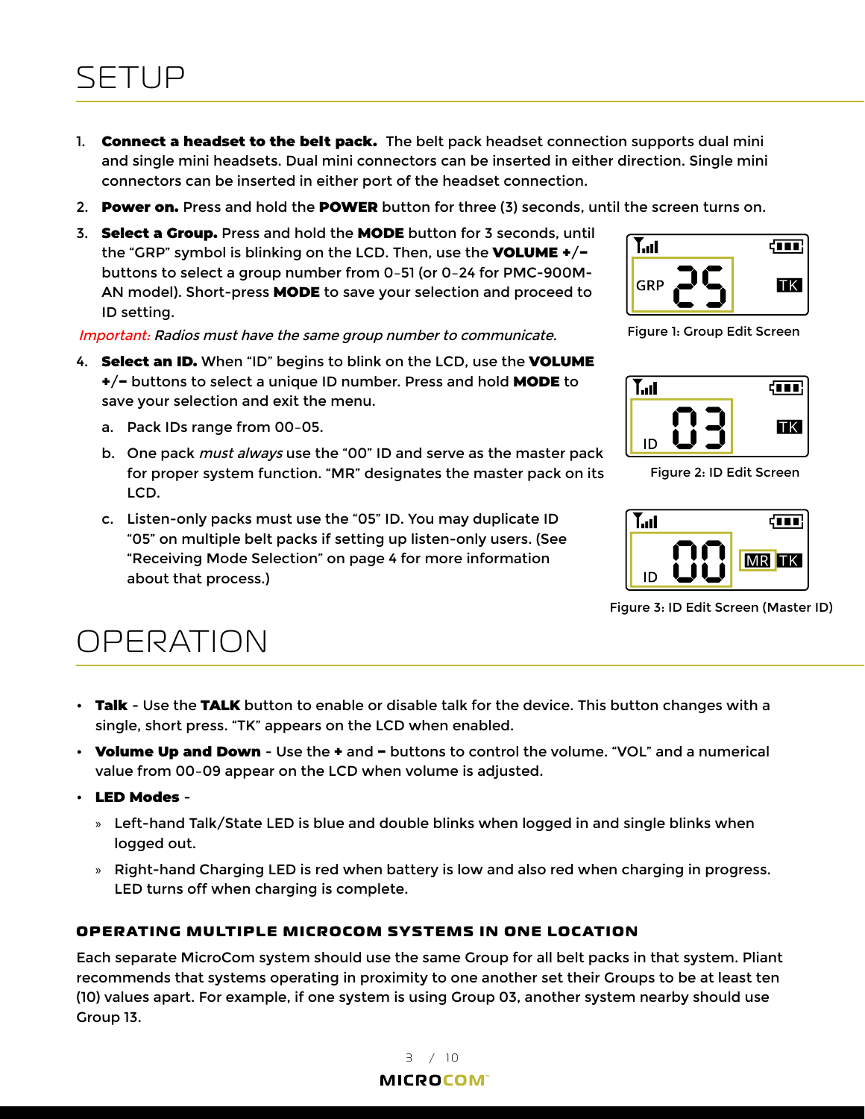## <span id="page-4-0"></span>SETUP

- 1. **Connect a headset to the belt pack.** The belt pack headset connection supports dual mini and single mini headsets. Dual mini connectors can be inserted in either direction. Single mini connectors can be inserted in either port of the headset connection.
- 2. Power on. Press and hold the POWER button for three (3) seconds, until the screen turns on.
- 3. Select a Group. Press and hold the MODE button for 3 seconds, until the "GRP" symbol is blinking on the LCD. Then, use the VOLUME +/− buttons to select a group number from 0–51 (or 0–24 for PMC-900M-AN model). Short-press MODE to save your selection and proceed to ID setting.

Important: Radios must have the same group number to communicate.

- 4. **Select an ID.** When "ID" begins to blink on the LCD, use the **VOLUME** +/− buttons to select a unique ID number. Press and hold MODE to save your selection and exit the menu.
	- a. Pack IDs range from 00–05.
	- b. One pack *must always* use the "00" ID and serve as the master pack for proper system function. "MR" designates the master pack on its LCD.
	- c. Listen-only packs must use the "05" ID. You may duplicate ID "05" on multiple belt packs if setting up listen-only users. (See ["Receiving Mode Selection" on page 4](#page-5-1) for more information about that process.)



Figure 1: Group Edit Screen



Figure 2: ID Edit Screen



Figure 3: ID Edit Screen (Master ID)

### OPERATION

- Talk Use the TALK button to enable or disable talk for the device. This button changes with a single, short press. "TK" appears on the LCD when enabled.
- Volume Up and Down Use the + and buttons to control the volume. "VOL" and a numerical value from 00–09 appear on the LCD when volume is adjusted.
- LED Modes
	- » Left-hand Talk/State LED is blue and double blinks when logged in and single blinks when logged out.
	- » Right-hand Charging LED is red when battery is low and also red when charging in progress. LED turns off when charging is complete.

### **OPERATING MULTIPLE MICROCOM SY STEMS IN ONE LOC ATION**

Each separate MicroCom system should use the same Group for all belt packs in that system. Pliant recommends that systems operating in proximity to one another set their Groups to be at least ten (10) values apart. For example, if one system is using Group 03, another system nearby should use Group 13.

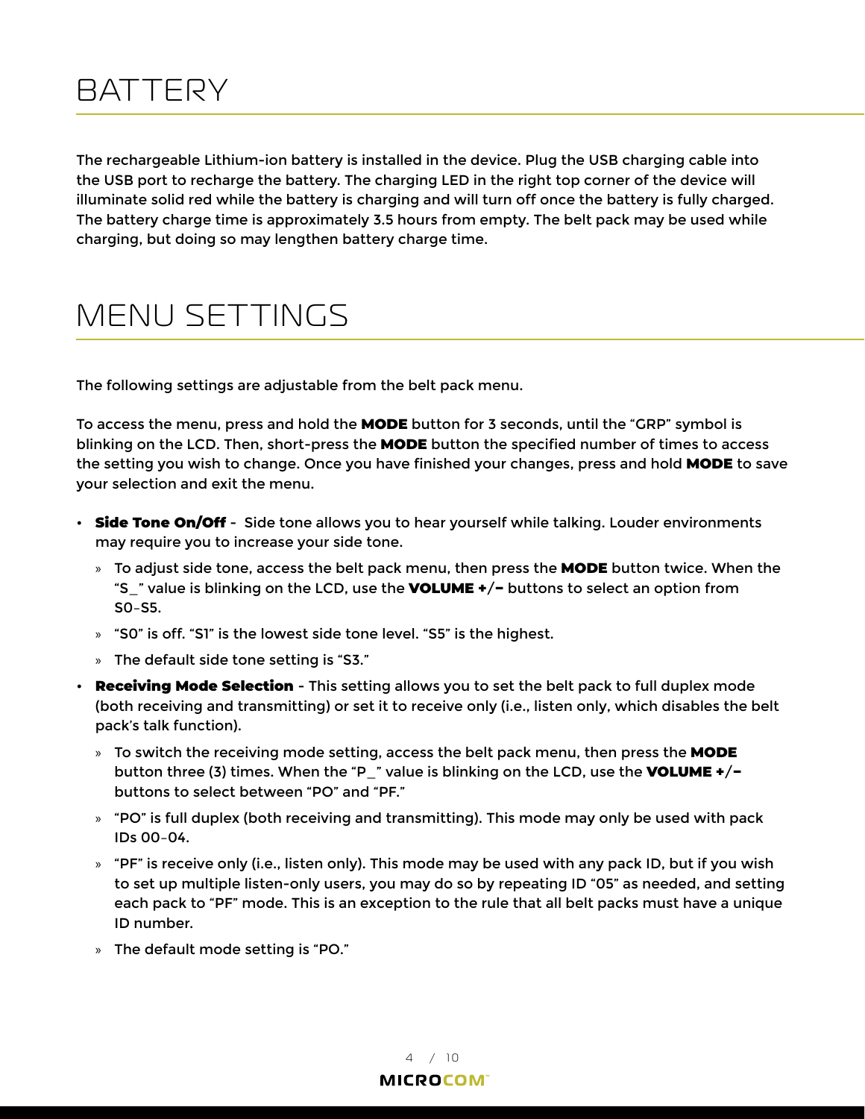### <span id="page-5-0"></span>**BATTERY**

The rechargeable Lithium-ion battery is installed in the device. Plug the USB charging cable into the USB port to recharge the battery. The charging LED in the right top corner of the device will illuminate solid red while the battery is charging and will turn off once the battery is fully charged. The battery charge time is approximately 3.5 hours from empty. The belt pack may be used while charging, but doing so may lengthen battery charge time.

### MENU SETTINGS

The following settings are adjustable from the belt pack menu.

To access the menu, press and hold the MODE button for 3 seconds, until the "GRP" symbol is blinking on the LCD. Then, short-press the MODE button the specified number of times to access the setting you wish to change. Once you have finished your changes, press and hold MODE to save your selection and exit the menu.

- Side Tone On/Off Side tone allows you to hear yourself while talking. Louder environments may require you to increase your side tone.
	- » To adjust side tone, access the belt pack menu, then press the **MODE** button twice. When the "S\_" value is blinking on the LCD, use the VOLUME +/− buttons to select an option from S0–S5.
	- » "S0" is off. "S1" is the lowest side tone level. "S5" is the highest.
	- » The default side tone setting is "S3."
- <span id="page-5-1"></span>• Receiving Mode Selection - This setting allows you to set the belt pack to full duplex mode (both receiving and transmitting) or set it to receive only (i.e., listen only, which disables the belt pack's talk function).
	- » To switch the receiving mode setting, access the belt pack menu, then press the MODE button three (3) times. When the "P\_" value is blinking on the LCD, use the VOLUME +/ $$ buttons to select between "PO" and "PF."
	- $\ast$  "PO" is full duplex (both receiving and transmitting). This mode may only be used with pack IDs 00–04.
	- $\ast$  "PF" is receive only (i.e., listen only). This mode may be used with any pack ID, but if you wish to set up multiple listen-only users, you may do so by repeating ID "05" as needed, and setting each pack to "PF" mode. This is an exception to the rule that all belt packs must have a unique ID number.
	- » The default mode setting is "PO."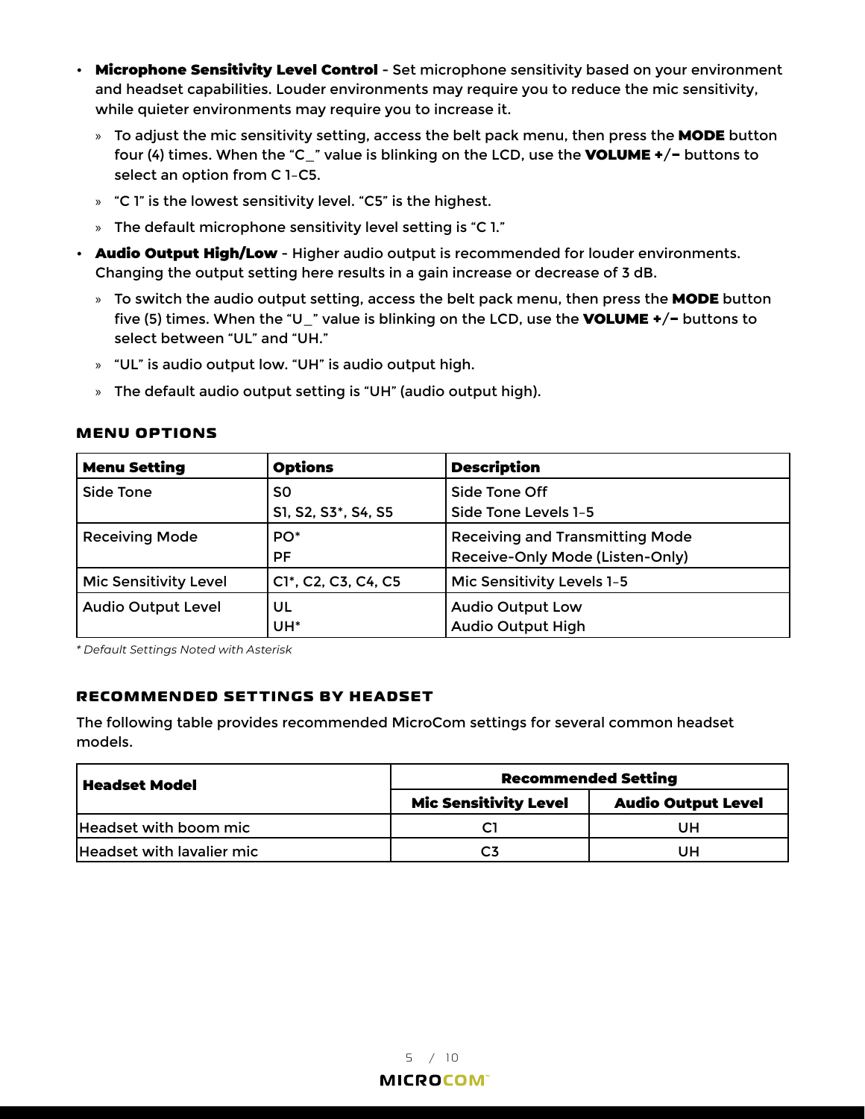- Microphone Sensitivity Level Control Set microphone sensitivity based on your environment and headset capabilities. Louder environments may require you to reduce the mic sensitivity, while quieter environments may require you to increase it.
	- » To adjust the mic sensitivity setting, access the belt pack menu, then press the MODE button four (4) times. When the "C\_" value is blinking on the LCD, use the VOLUME +/− buttons to select an option from C 1–C5.
	- » "C 1" is the lowest sensitivity level. "C5" is the highest.
	- » The default microphone sensitivity level setting is "C 1."
- Audio Output High/Low Higher audio output is recommended for louder environments. Changing the output setting here results in a gain increase or decrease of 3 dB.
	- » To switch the audio output setting, access the belt pack menu, then press the MODE button five (5) times. When the "U\_" value is blinking on the LCD, use the VOLUME +/− buttons to select between "UL" and "UH."
	- » "UL" is audio output low. "UH" is audio output high.
	- » The default audio output setting is "UH" (audio output high).

| <b>Menu Setting</b>          | <b>Options</b>            | <b>Description</b>                                                        |  |
|------------------------------|---------------------------|---------------------------------------------------------------------------|--|
| Side Tone                    | S0<br>S1, S2, S3*, S4, S5 | Side Tone Off<br>Side Tone Levels 1-5                                     |  |
| <b>Receiving Mode</b>        | PO <sup>*</sup><br>PF     | <b>Receiving and Transmitting Mode</b><br>Receive-Only Mode (Listen-Only) |  |
| <b>Mic Sensitivity Level</b> | C1*, C2, C3, C4, C5       | Mic Sensitivity Levels 1-5                                                |  |
| <b>Audio Output Level</b>    | UL<br>UH <sup>*</sup>     | <b>Audio Output Low</b><br><b>Audio Output High</b>                       |  |

#### **MENU OPTIONS**

*\* Default Settings Noted with Asterisk*

#### **RECOMMENDED SETTINGS BY HEADSET**

The following table provides recommended MicroCom settings for several common headset models.

| <b>Headset Model</b>      | <b>Recommended Setting</b>   |                           |  |
|---------------------------|------------------------------|---------------------------|--|
|                           | <b>Mic Sensitivity Level</b> | <b>Audio Output Level</b> |  |
| Headset with boom mic     |                              | UΗ                        |  |
| Headset with lavalier mic |                              | UΗ                        |  |

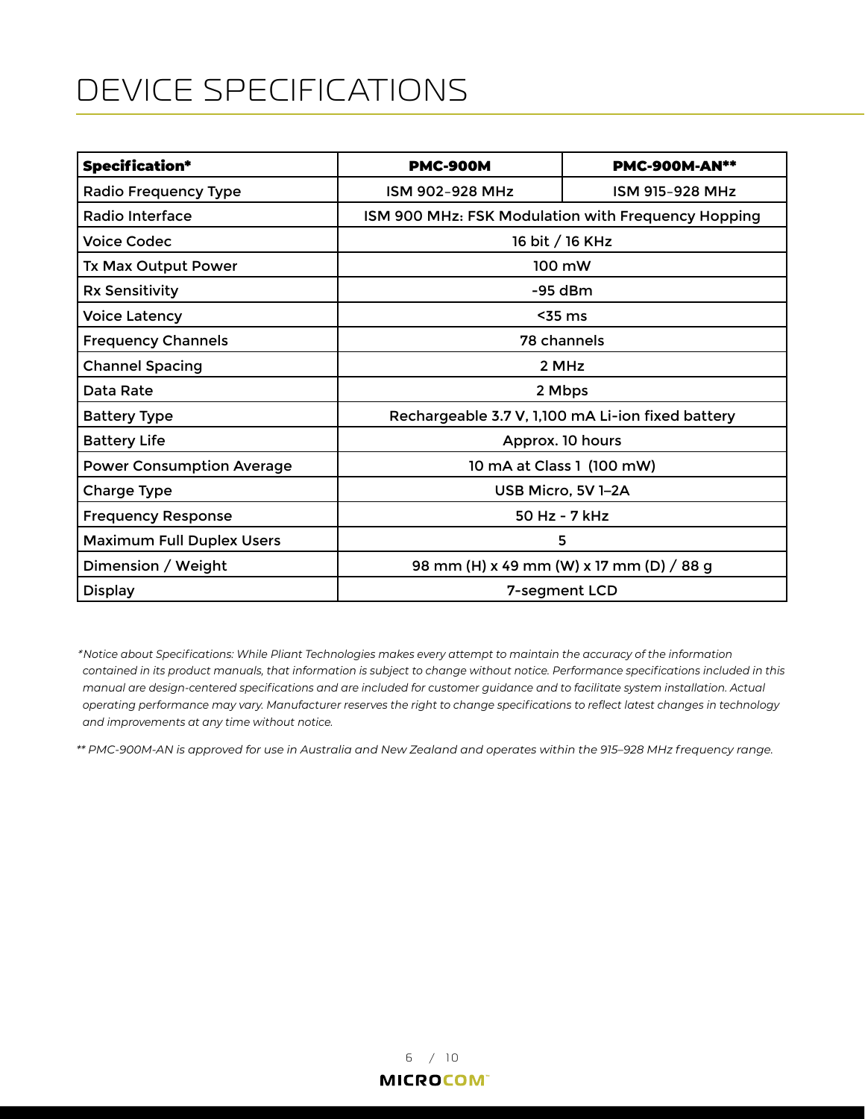## <span id="page-7-0"></span>DEVICE SPECIFICATIONS

| <b>Specification*</b>            | <b>PMC-900M</b>                                    | <b>PMC-900M-AN**</b> |  |
|----------------------------------|----------------------------------------------------|----------------------|--|
| <b>Radio Frequency Type</b>      | ISM 902-928 MHz                                    | ISM 915-928 MHz      |  |
| Radio Interface                  | ISM 900 MHz: FSK Modulation with Frequency Hopping |                      |  |
| <b>Voice Codec</b>               | 16 bit / 16 KHz                                    |                      |  |
| <b>Tx Max Output Power</b>       | 100 mW                                             |                      |  |
| <b>Rx Sensitivity</b>            | $-95$ dBm                                          |                      |  |
| <b>Voice Latency</b>             | $55$ ms                                            |                      |  |
| <b>Frequency Channels</b>        | 78 channels                                        |                      |  |
| <b>Channel Spacing</b>           | 2 MHz                                              |                      |  |
| Data Rate                        | 2 Mbps                                             |                      |  |
| <b>Battery Type</b>              | Rechargeable 3.7 V, 1,100 mA Li-ion fixed battery  |                      |  |
| <b>Battery Life</b>              | Approx. 10 hours                                   |                      |  |
| <b>Power Consumption Average</b> | 10 mA at Class 1 (100 mW)                          |                      |  |
| Charge Type                      | USB Micro, 5V 1-2A                                 |                      |  |
| <b>Frequency Response</b>        | 50 Hz - 7 kHz                                      |                      |  |
| <b>Maximum Full Duplex Users</b> | 5                                                  |                      |  |
| Dimension / Weight               | 98 mm (H) x 49 mm (W) x 17 mm (D) / 88 g           |                      |  |
| <b>Display</b>                   | 7-segment LCD                                      |                      |  |

*\* Notice about Specifications: While Pliant Technologies makes every attempt to maintain the accuracy of the information contained in its product manuals, that information is subject to change without notice. Performance specifications included in this manual are design-centered specifications and are included for customer guidance and to facilitate system installation. Actual operating performance may vary. Manufacturer reserves the right to change specifications to reflect latest changes in technology and improvements at any time without notice.*

*\*\* PMC-900M-AN is approved for use in Australia and New Zealand and operates within the 915–928 MHz frequency range.*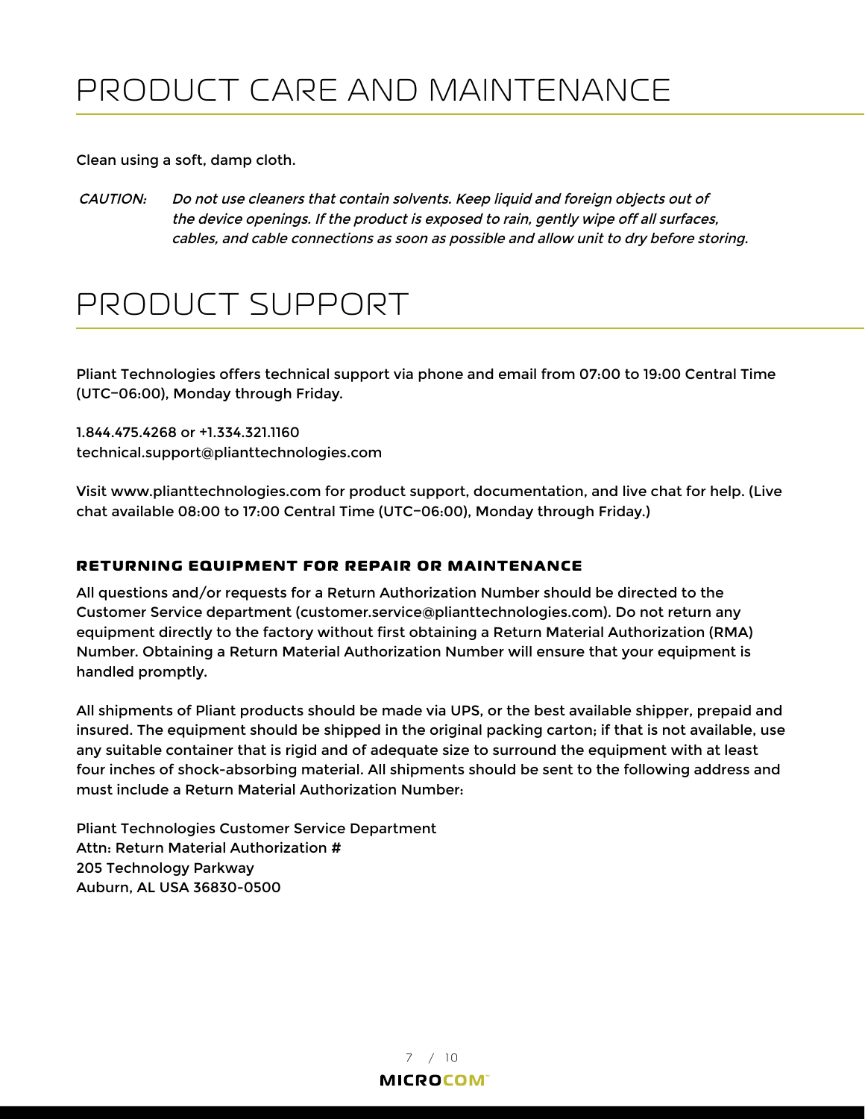<span id="page-8-0"></span>Clean using a soft, damp cloth.

CAUTION: Do not use cleaners that contain solvents. Keep liquid and foreign objects out of the device openings. If the product is exposed to rain, gently wipe off all surfaces, cables, and cable connections as soon as possible and allow unit to dry before storing.

## <span id="page-8-1"></span>PRODUCT SUPPORT

Pliant Technologies offers technical support via phone and email from 07:00 to 19:00 Central Time (UTC−06:00), Monday through Friday.

1.844.475.4268 or +1.334.321.1160 technical.support@plianttechnologies.com

Visit www.plianttechnologies.com for product support, documentation, and live chat for help. (Live chat available 08:00 to 17:00 Central Time (UTC−06:00), Monday through Friday.)

### **RETURNING EQUIPMENT FOR REPAIR OR MAINTENANCE**

All questions and/or requests for a Return Authorization Number should be directed to the Customer Service department (customer.service@plianttechnologies.com). Do not return any equipment directly to the factory without first obtaining a Return Material Authorization (RMA) Number. Obtaining a Return Material Authorization Number will ensure that your equipment is handled promptly.

All shipments of Pliant products should be made via UPS, or the best available shipper, prepaid and insured. The equipment should be shipped in the original packing carton; if that is not available, use any suitable container that is rigid and of adequate size to surround the equipment with at least four inches of shock-absorbing material. All shipments should be sent to the following address and must include a Return Material Authorization Number:

Pliant Technologies Customer Service Department Attn: Return Material Authorization # 205 Technology Parkway Auburn, AL USA 36830-0500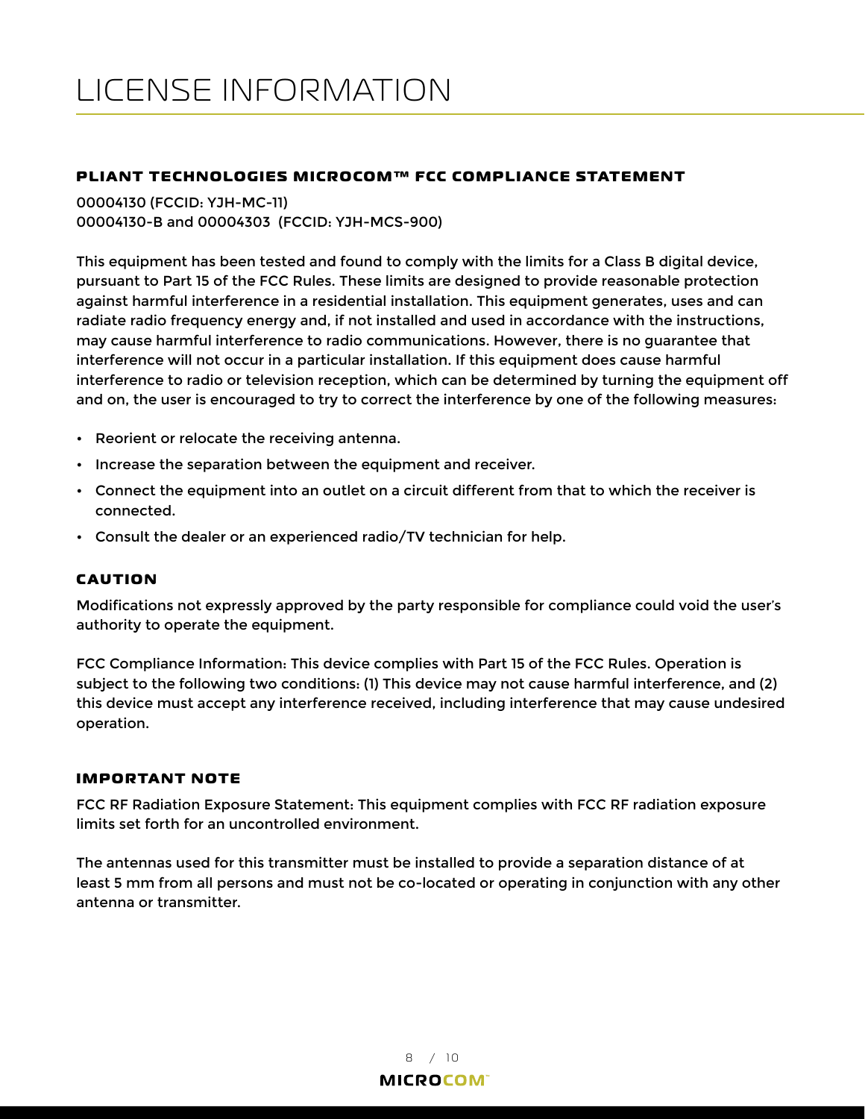#### <span id="page-9-0"></span>**PLIANT TECHNOLOGIES MICROCOM™ FCC COMPLIANCE STATEMENT**

00004130 (FCCID: YJH-MC-11) 00004130-B and 00004303 (FCCID: YJH-MCS-900)

This equipment has been tested and found to comply with the limits for a Class B digital device, pursuant to Part 15 of the FCC Rules. These limits are designed to provide reasonable protection against harmful interference in a residential installation. This equipment generates, uses and can radiate radio frequency energy and, if not installed and used in accordance with the instructions, may cause harmful interference to radio communications. However, there is no guarantee that interference will not occur in a particular installation. If this equipment does cause harmful interference to radio or television reception, which can be determined by turning the equipment off and on, the user is encouraged to try to correct the interference by one of the following measures:

- Reorient or relocate the receiving antenna.
- Increase the separation between the equipment and receiver.
- Connect the equipment into an outlet on a circuit different from that to which the receiver is connected.
- Consult the dealer or an experienced radio/TV technician for help.

#### **CAUTION**

Modifications not expressly approved by the party responsible for compliance could void the user's authority to operate the equipment.

FCC Compliance Information: This device complies with Part 15 of the FCC Rules. Operation is subject to the following two conditions: (1) This device may not cause harmful interference, and (2) this device must accept any interference received, including interference that may cause undesired operation.

#### **IMPORTANT NOTE**

FCC RF Radiation Exposure Statement: This equipment complies with FCC RF radiation exposure limits set forth for an uncontrolled environment.

The antennas used for this transmitter must be installed to provide a separation distance of at least 5 mm from all persons and must not be co-located or operating in conjunction with any other antenna or transmitter.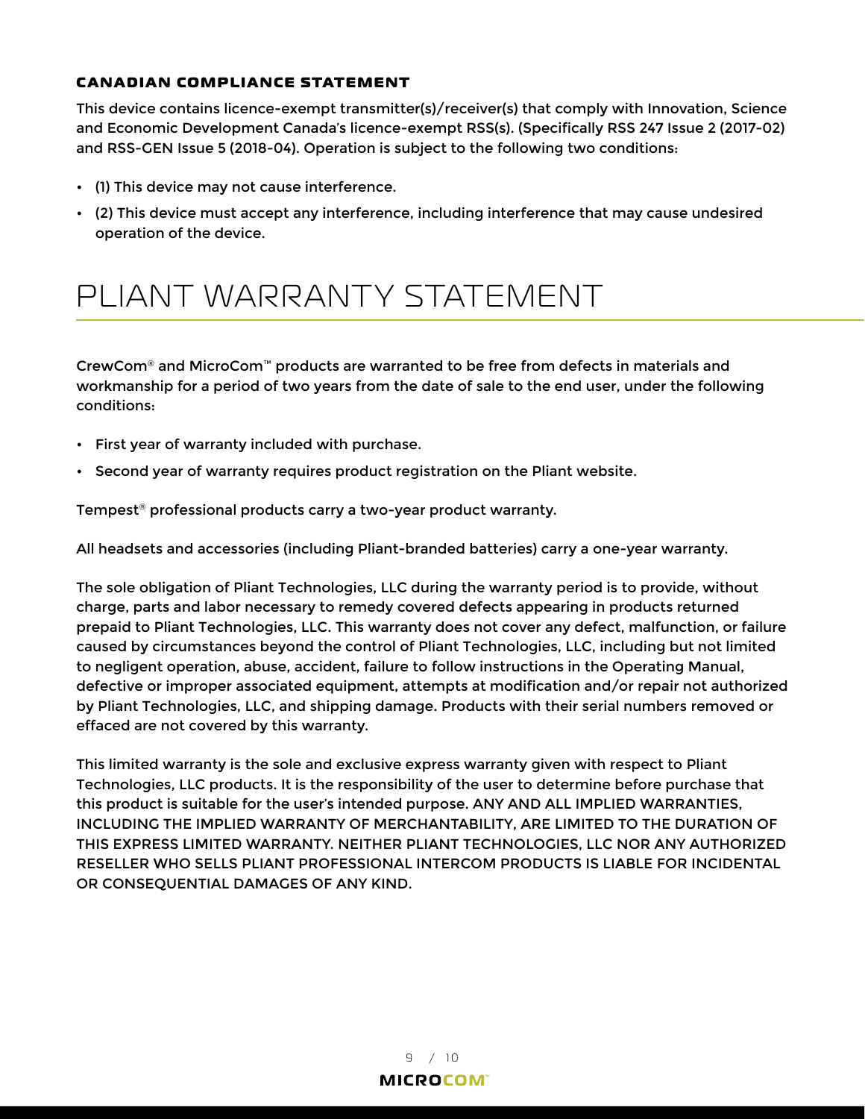#### <span id="page-10-0"></span>**CANADIAN COMPLIANCE STATEMENT**

This device contains licence-exempt transmitter(s)/receiver(s) that comply with Innovation, Science and Economic Development Canada's licence-exempt RSS(s). (Specifically RSS 247 Issue 2 (2017-02) and RSS-GEN Issue 5 (2018-04). Operation is subject to the following two conditions:

- (1) This device may not cause interference.
- (2) This device must accept any interference, including interference that may cause undesired operation of the device.

## PLIANT WARRANTY STATEMENT

CrewCom® and MicroCom™ products are warranted to be free from defects in materials and workmanship for a period of two years from the date of sale to the end user, under the following conditions:

- First year of warranty included with purchase.
- Second year of warranty requires product registration on the Pliant website.

Tempest® professional products carry a two-year product warranty.

All headsets and accessories (including Pliant-branded batteries) carry a one-year warranty.

The sole obligation of Pliant Technologies, LLC during the warranty period is to provide, without charge, parts and labor necessary to remedy covered defects appearing in products returned prepaid to Pliant Technologies, LLC. This warranty does not cover any defect, malfunction, or failure caused by circumstances beyond the control of Pliant Technologies, LLC, including but not limited to negligent operation, abuse, accident, failure to follow instructions in the Operating Manual, defective or improper associated equipment, attempts at modification and/or repair not authorized by Pliant Technologies, LLC, and shipping damage. Products with their serial numbers removed or effaced are not covered by this warranty.

This limited warranty is the sole and exclusive express warranty given with respect to Pliant Technologies, LLC products. It is the responsibility of the user to determine before purchase that this product is suitable for the user's intended purpose. ANY AND ALL IMPLIED WARRANTIES, INCLUDING THE IMPLIED WARRANTY OF MERCHANTABILITY, ARE LIMITED TO THE DURATION OF THIS EXPRESS LIMITED WARRANTY. NEITHER PLIANT TECHNOLOGIES, LLC NOR ANY AUTHORIZED RESELLER WHO SELLS PLIANT PROFESSIONAL INTERCOM PRODUCTS IS LIABLE FOR INCIDENTAL OR CONSEQUENTIAL DAMAGES OF ANY KIND.